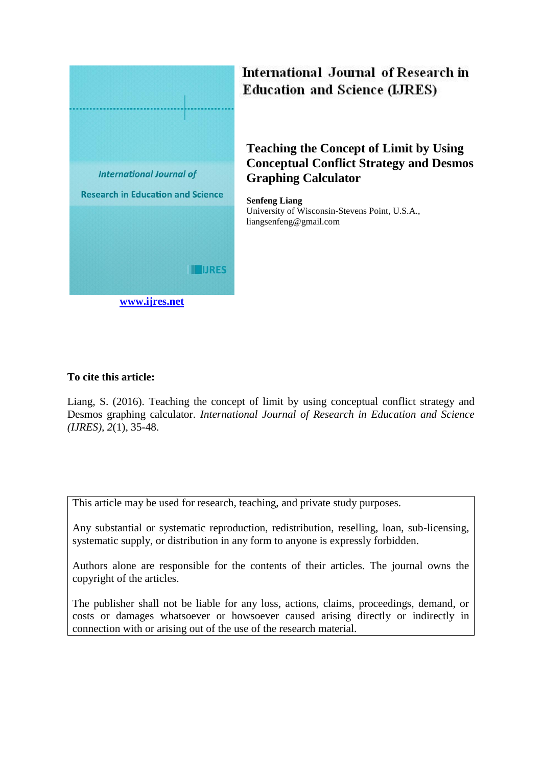

# International Journal of Research in **Education and Science (LJRES)**

# **Teaching the Concept of Limit by Using Conceptual Conflict Strategy and Desmos Graphing Calculator**

**Senfeng Liang** University of Wisconsin-Stevens Point, U.S.A., liangsenfeng@gmail.com

# **To cite this article:**

Liang, S. (2016). Teaching the concept of limit by using conceptual conflict strategy and Desmos graphing calculator. *International Journal of Research in Education and Science (IJRES), 2*(1), 35-48.

This article may be used for research, teaching, and private study purposes.

Any substantial or systematic reproduction, redistribution, reselling, loan, sub-licensing, systematic supply, or distribution in any form to anyone is expressly forbidden.

Authors alone are responsible for the contents of their articles. The journal owns the copyright of the articles.

The publisher shall not be liable for any loss, actions, claims, proceedings, demand, or costs or damages whatsoever or howsoever caused arising directly or indirectly in connection with or arising out of the use of the research material.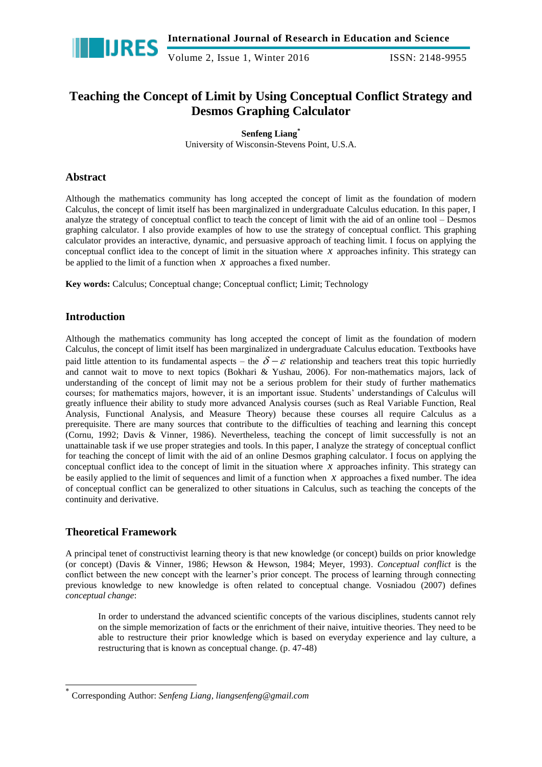

# **Teaching the Concept of Limit by Using Conceptual Conflict Strategy and Desmos Graphing Calculator**

**Senfeng Liang\***

University of Wisconsin-Stevens Point, U.S.A.

### **Abstract**

Although the mathematics community has long accepted the concept of limit as the foundation of modern Calculus, the concept of limit itself has been marginalized in undergraduate Calculus education. In this paper, I analyze the strategy of conceptual conflict to teach the concept of limit with the aid of an online tool – Desmos graphing calculator. I also provide examples of how to use the strategy of conceptual conflict. This graphing calculator provides an interactive, dynamic, and persuasive approach of teaching limit. I focus on applying the conceptual conflict idea to the concept of limit in the situation where  $x$  approaches infinity. This strategy can be applied to the limit of a function when  $x$  approaches a fixed number.

**Key words:** Calculus; Conceptual change; Conceptual conflict; Limit; Technology

## **Introduction**

Although the mathematics community has long accepted the concept of limit as the foundation of modern Calculus, the concept of limit itself has been marginalized in undergraduate Calculus education. Textbooks have paid little attention to its fundamental aspects – the  $\delta - \varepsilon$  relationship and teachers treat this topic hurriedly and cannot wait to move to next topics (Bokhari & Yushau, 2006). For non-mathematics majors, lack of understanding of the concept of limit may not be a serious problem for their study of further mathematics courses; for mathematics majors, however, it is an important issue. Students' understandings of Calculus will greatly influence their ability to study more advanced Analysis courses (such as Real Variable Function, Real Analysis, Functional Analysis, and Measure Theory) because these courses all require Calculus as a prerequisite. There are many sources that contribute to the difficulties of teaching and learning this concept (Cornu, 1992; Davis & Vinner, 1986). Nevertheless, teaching the concept of limit successfully is not an unattainable task if we use proper strategies and tools. In this paper, I analyze the strategy of conceptual conflict for teaching the concept of limit with the aid of an online Desmos graphing calculator. I focus on applying the conceptual conflict idea to the concept of limit in the situation where  $x$  approaches infinity. This strategy can be easily applied to the limit of sequences and limit of a function when  $x$  approaches a fixed number. The idea of conceptual conflict can be generalized to other situations in Calculus, such as teaching the concepts of the continuity and derivative.

### **Theoretical Framework**

-

A principal tenet of constructivist learning theory is that new knowledge (or concept) builds on prior knowledge (or concept) (Davis & Vinner, 1986; Hewson & Hewson, 1984; Meyer, 1993). *Conceptual conflict* is the conflict between the new concept with the learner's prior concept. The process of learning through connecting previous knowledge to new knowledge is often related to conceptual change. Vosniadou (2007) defines *conceptual change*:

In order to understand the advanced scientific concepts of the various disciplines, students cannot rely on the simple memorization of facts or the enrichment of their naive, intuitive theories. They need to be able to restructure their prior knowledge which is based on everyday experience and lay culture, a restructuring that is known as conceptual change. (p. 47-48)

<sup>\*</sup> Corresponding Author: *Senfeng Liang, liangsenfeng@gmail.com*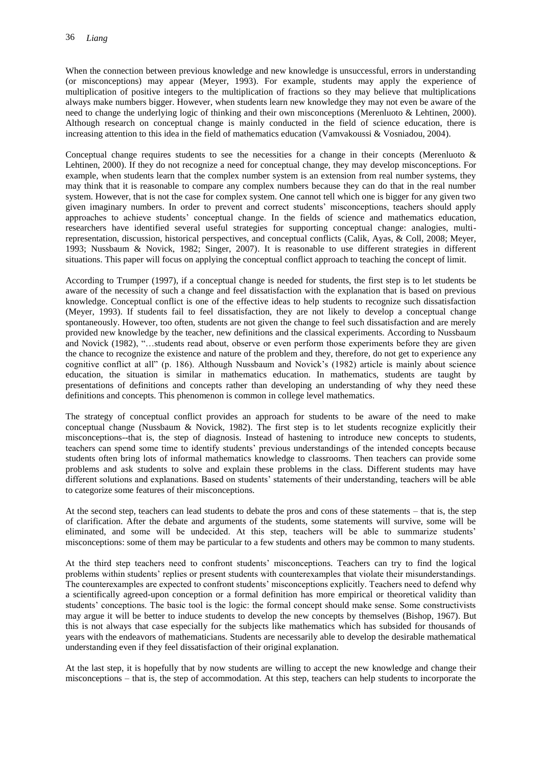When the connection between previous knowledge and new knowledge is unsuccessful, errors in understanding (or misconceptions) may appear (Meyer, 1993). For example, students may apply the experience of multiplication of positive integers to the multiplication of fractions so they may believe that multiplications always make numbers bigger. However, when students learn new knowledge they may not even be aware of the need to change the underlying logic of thinking and their own misconceptions (Merenluoto & Lehtinen, 2000). Although research on conceptual change is mainly conducted in the field of science education, there is increasing attention to this idea in the field of mathematics education (Vamvakoussi & Vosniadou, 2004).

Conceptual change requires students to see the necessities for a change in their concepts (Merenluoto  $\&$ Lehtinen, 2000). If they do not recognize a need for conceptual change, they may develop misconceptions. For example, when students learn that the complex number system is an extension from real number systems, they may think that it is reasonable to compare any complex numbers because they can do that in the real number system. However, that is not the case for complex system. One cannot tell which one is bigger for any given two given imaginary numbers. In order to prevent and correct students' misconceptions, teachers should apply approaches to achieve students' conceptual change. In the fields of science and mathematics education, researchers have identified several useful strategies for supporting conceptual change: analogies, multirepresentation, discussion, historical perspectives, and conceptual conflicts (Calik, Ayas, & Coll, 2008; Meyer, 1993; Nussbaum & Novick, 1982; Singer, 2007). It is reasonable to use different strategies in different situations. This paper will focus on applying the conceptual conflict approach to teaching the concept of limit.

According to Trumper (1997), if a conceptual change is needed for students, the first step is to let students be aware of the necessity of such a change and feel dissatisfaction with the explanation that is based on previous knowledge. Conceptual conflict is one of the effective ideas to help students to recognize such dissatisfaction (Meyer, 1993). If students fail to feel dissatisfaction, they are not likely to develop a conceptual change spontaneously. However, too often, students are not given the change to feel such dissatisfaction and are merely provided new knowledge by the teacher, new definitions and the classical experiments. According to Nussbaum and Novick (1982), "…students read about, observe or even perform those experiments before they are given the chance to recognize the existence and nature of the problem and they, therefore, do not get to experience any cognitive conflict at all" (p. 186). Although Nussbaum and Novick's (1982) article is mainly about science education, the situation is similar in mathematics education. In mathematics, students are taught by presentations of definitions and concepts rather than developing an understanding of why they need these definitions and concepts. This phenomenon is common in college level mathematics.

The strategy of conceptual conflict provides an approach for students to be aware of the need to make conceptual change (Nussbaum  $\&$  Novick, 1982). The first step is to let students recognize explicitly their misconceptions--that is, the step of diagnosis. Instead of hastening to introduce new concepts to students, teachers can spend some time to identify students' previous understandings of the intended concepts because students often bring lots of informal mathematics knowledge to classrooms. Then teachers can provide some problems and ask students to solve and explain these problems in the class. Different students may have different solutions and explanations. Based on students' statements of their understanding, teachers will be able to categorize some features of their misconceptions.

At the second step, teachers can lead students to debate the pros and cons of these statements – that is, the step of clarification. After the debate and arguments of the students, some statements will survive, some will be eliminated, and some will be undecided. At this step, teachers will be able to summarize students' misconceptions: some of them may be particular to a few students and others may be common to many students.

At the third step teachers need to confront students' misconceptions. Teachers can try to find the logical problems within students' replies or present students with counterexamples that violate their misunderstandings. The counterexamples are expected to confront students' misconceptions explicitly. Teachers need to defend why a scientifically agreed-upon conception or a formal definition has more empirical or theoretical validity than students' conceptions. The basic tool is the logic: the formal concept should make sense. Some constructivists may argue it will be better to induce students to develop the new concepts by themselves (Bishop, 1967). But this is not always that case especially for the subjects like mathematics which has subsided for thousands of years with the endeavors of mathematicians. Students are necessarily able to develop the desirable mathematical understanding even if they feel dissatisfaction of their original explanation.

At the last step, it is hopefully that by now students are willing to accept the new knowledge and change their misconceptions – that is, the step of accommodation. At this step, teachers can help students to incorporate the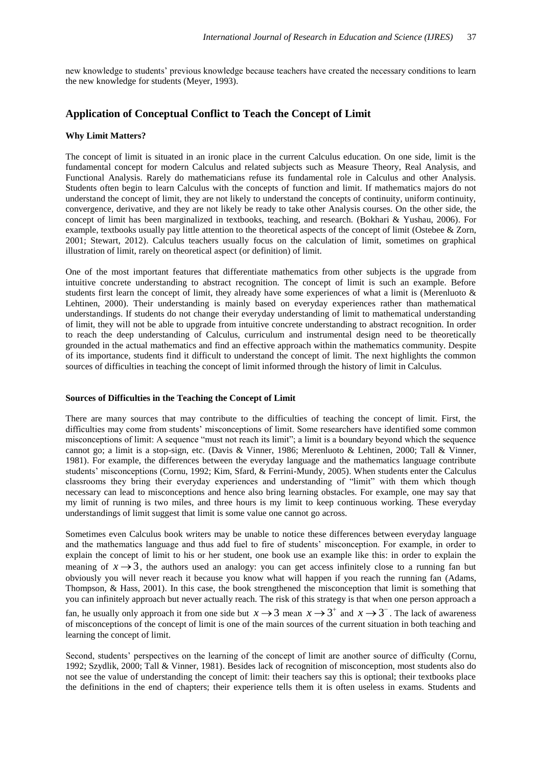new knowledge to students' previous knowledge because teachers have created the necessary conditions to learn the new knowledge for students (Meyer, 1993).

### **Application of Conceptual Conflict to Teach the Concept of Limit**

### **Why Limit Matters?**

The concept of limit is situated in an ironic place in the current Calculus education. On one side, limit is the fundamental concept for modern Calculus and related subjects such as Measure Theory, Real Analysis, and Functional Analysis. Rarely do mathematicians refuse its fundamental role in Calculus and other Analysis. Students often begin to learn Calculus with the concepts of function and limit. If mathematics majors do not understand the concept of limit, they are not likely to understand the concepts of continuity, uniform continuity, convergence, derivative, and they are not likely be ready to take other Analysis courses. On the other side, the concept of limit has been marginalized in textbooks, teaching, and research. (Bokhari & Yushau, 2006). For example, textbooks usually pay little attention to the theoretical aspects of the concept of limit (Ostebee & Zorn, 2001; Stewart, 2012). Calculus teachers usually focus on the calculation of limit, sometimes on graphical illustration of limit, rarely on theoretical aspect (or definition) of limit.

One of the most important features that differentiate mathematics from other subjects is the upgrade from intuitive concrete understanding to abstract recognition. The concept of limit is such an example. Before students first learn the concept of limit, they already have some experiences of what a limit is (Merenluoto & Lehtinen, 2000). Their understanding is mainly based on everyday experiences rather than mathematical understandings. If students do not change their everyday understanding of limit to mathematical understanding of limit, they will not be able to upgrade from intuitive concrete understanding to abstract recognition. In order to reach the deep understanding of Calculus, curriculum and instrumental design need to be theoretically grounded in the actual mathematics and find an effective approach within the mathematics community. Despite of its importance, students find it difficult to understand the concept of limit. The next highlights the common sources of difficulties in teaching the concept of limit informed through the history of limit in Calculus.

#### **Sources of Difficulties in the Teaching the Concept of Limit**

There are many sources that may contribute to the difficulties of teaching the concept of limit. First, the difficulties may come from students' misconceptions of limit. Some researchers have identified some common misconceptions of limit: A sequence "must not reach its limit"; a limit is a boundary beyond which the sequence cannot go; a limit is a stop-sign, etc. (Davis & Vinner, 1986; Merenluoto & Lehtinen, 2000; Tall & Vinner, 1981). For example, the differences between the everyday language and the mathematics language contribute students' misconceptions (Cornu, 1992; Kim, Sfard, & Ferrini-Mundy, 2005). When students enter the Calculus classrooms they bring their everyday experiences and understanding of "limit" with them which though necessary can lead to misconceptions and hence also bring learning obstacles. For example, one may say that my limit of running is two miles, and three hours is my limit to keep continuous working. These everyday understandings of limit suggest that limit is some value one cannot go across.

Sometimes even Calculus book writers may be unable to notice these differences between everyday language and the mathematics language and thus add fuel to fire of students' misconception. For example, in order to explain the concept of limit to his or her student, one book use an example like this: in order to explain the meaning of  $x \rightarrow 3$ , the authors used an analogy: you can get access infinitely close to a running fan but obviously you will never reach it because you know what will happen if you reach the running fan (Adams, Thompson, & Hass, 2001). In this case, the book strengthened the misconception that limit is something that you can infinitely approach but never actually reach. The risk of this strategy is that when one person approach a fan, he usually only approach it from one side but  $x \to 3$  mean  $x \to 3^+$  and  $x \to 3^-$ . The lack of awareness of misconceptions of the concept of limit is one of the main sources of the current situation in both teaching and learning the concept of limit.

Second, students' perspectives on the learning of the concept of limit are another source of difficulty (Cornu, 1992; Szydlik, 2000; Tall & Vinner, 1981). Besides lack of recognition of misconception, most students also do not see the value of understanding the concept of limit: their teachers say this is optional; their textbooks place the definitions in the end of chapters; their experience tells them it is often useless in exams. Students and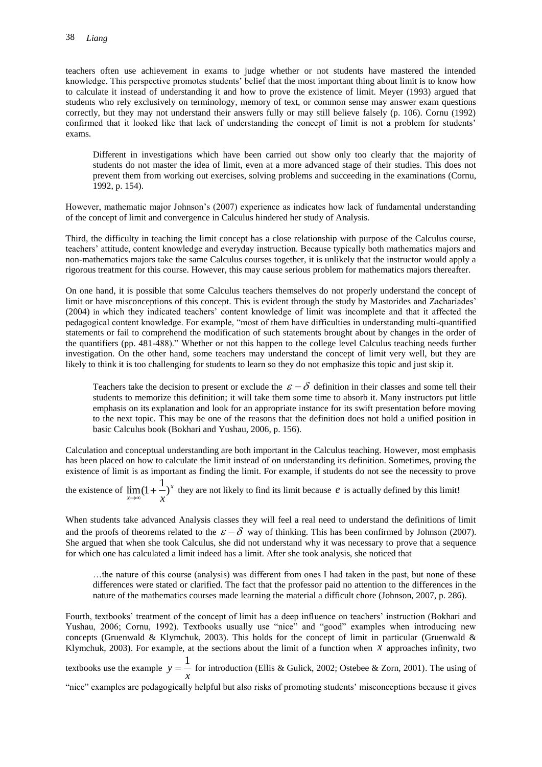teachers often use achievement in exams to judge whether or not students have mastered the intended knowledge. This perspective promotes students' belief that the most important thing about limit is to know how to calculate it instead of understanding it and how to prove the existence of limit. Meyer (1993) argued that students who rely exclusively on terminology, memory of text, or common sense may answer exam questions correctly, but they may not understand their answers fully or may still believe falsely (p. 106). Cornu (1992) confirmed that it looked like that lack of understanding the concept of limit is not a problem for students' exams.

Different in investigations which have been carried out show only too clearly that the majority of students do not master the idea of limit, even at a more advanced stage of their studies. This does not prevent them from working out exercises, solving problems and succeeding in the examinations (Cornu, 1992, p. 154).

However, mathematic major Johnson's (2007) experience as indicates how lack of fundamental understanding of the concept of limit and convergence in Calculus hindered her study of Analysis.

Third, the difficulty in teaching the limit concept has a close relationship with purpose of the Calculus course, teachers' attitude, content knowledge and everyday instruction. Because typically both mathematics majors and non-mathematics majors take the same Calculus courses together, it is unlikely that the instructor would apply a rigorous treatment for this course. However, this may cause serious problem for mathematics majors thereafter.

On one hand, it is possible that some Calculus teachers themselves do not properly understand the concept of limit or have misconceptions of this concept. This is evident through the study by Mastorides and Zachariades' (2004) in which they indicated teachers' content knowledge of limit was incomplete and that it affected the pedagogical content knowledge. For example, "most of them have difficulties in understanding multi-quantified statements or fail to comprehend the modification of such statements brought about by changes in the order of the quantifiers (pp. 481-488)." Whether or not this happen to the college level Calculus teaching needs further investigation. On the other hand, some teachers may understand the concept of limit very well, but they are likely to think it is too challenging for students to learn so they do not emphasize this topic and just skip it.

Teachers take the decision to present or exclude the  $\varepsilon - \delta$  definition in their classes and some tell their students to memorize this definition; it will take them some time to absorb it. Many instructors put little emphasis on its explanation and look for an appropriate instance for its swift presentation before moving to the next topic. This may be one of the reasons that the definition does not hold a unified position in basic Calculus book (Bokhari and Yushau, 2006, p. 156).

Calculation and conceptual understanding are both important in the Calculus teaching. However, most emphasis has been placed on how to calculate the limit instead of on understanding its definition. Sometimes, proving the existence of limit is as important as finding the limit. For example, if students do not see the necessity to prove

the existence of  $\lim_{x \to 0} (1 + \frac{1}{x})^x$  $\overline{x} \rightarrow \infty$   $\overline{x}$  $\lim_{x\to\infty} (1+\frac{1}{x})^x$  they are not likely to find its limit because  $e$  is actually defined by this limit!

When students take advanced Analysis classes they will feel a real need to understand the definitions of limit and the proofs of theorems related to the  $\varepsilon - \delta$  way of thinking. This has been confirmed by Johnson (2007). She argued that when she took Calculus, she did not understand why it was necessary to prove that a sequence for which one has calculated a limit indeed has a limit. After she took analysis, she noticed that

…the nature of this course (analysis) was different from ones I had taken in the past, but none of these differences were stated or clarified. The fact that the professor paid no attention to the differences in the nature of the mathematics courses made learning the material a difficult chore (Johnson, 2007, p. 286).

Fourth, textbooks' treatment of the concept of limit has a deep influence on teachers' instruction (Bokhari and Yushau, 2006; Cornu, 1992). Textbooks usually use "nice" and "good" examples when introducing new concepts (Gruenwald & Klymchuk, 2003). This holds for the concept of limit in particular (Gruenwald  $\&$ Klymchuk, 2003). For example, at the sections about the limit of a function when  $\bar{x}$  approaches infinity, two textbooks use the example  $y = \frac{1}{x}$  $y = \frac{1}{x}$  for introduction (Ellis & Gulick, 2002; Ostebee & Zorn, 2001). The using of

"nice" examples are pedagogically helpful but also risks of promoting students' misconceptions because it gives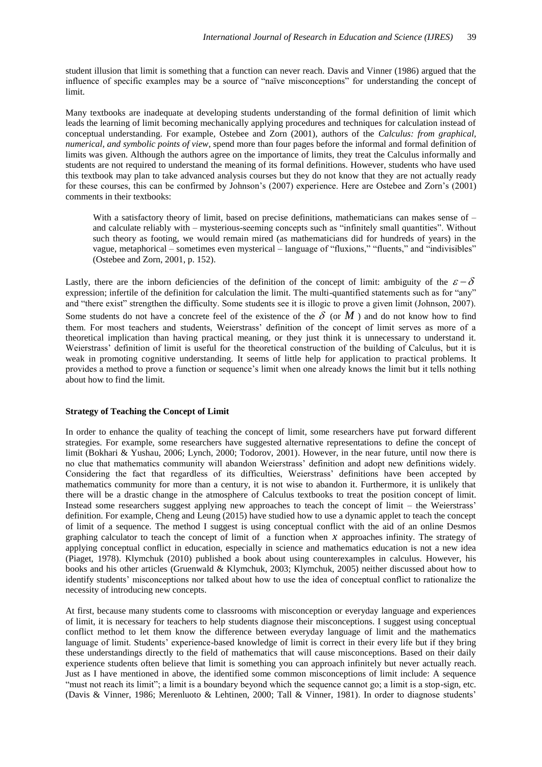student illusion that limit is something that a function can never reach. Davis and Vinner (1986) argued that the influence of specific examples may be a source of "naïve misconceptions" for understanding the concept of limit.

Many textbooks are inadequate at developing students understanding of the formal definition of limit which leads the learning of limit becoming mechanically applying procedures and techniques for calculation instead of conceptual understanding. For example, Ostebee and Zorn (2001), authors of the *Calculus: from graphical, numerical, and symbolic points of view*, spend more than four pages before the informal and formal definition of limits was given. Although the authors agree on the importance of limits, they treat the Calculus informally and students are not required to understand the meaning of its formal definitions. However, students who have used this textbook may plan to take advanced analysis courses but they do not know that they are not actually ready for these courses, this can be confirmed by Johnson's (2007) experience. Here are Ostebee and Zorn's (2001) comments in their textbooks:

With a satisfactory theory of limit, based on precise definitions, mathematicians can makes sense of – and calculate reliably with – mysterious-seeming concepts such as "infinitely small quantities". Without such theory as footing, we would remain mired (as mathematicians did for hundreds of years) in the vague, metaphorical – sometimes even mysterical – language of "fluxions," "fluents," and "indivisibles" (Ostebee and Zorn, 2001, p. 152).

Lastly, there are the inborn deficiencies of the definition of the concept of limit: ambiguity of the  $\varepsilon - \delta$ expression; infertile of the definition for calculation the limit. The multi-quantified statements such as for "any" and "there exist" strengthen the difficulty. Some students see it is illogic to prove a given limit (Johnson, 2007). Some students do not have a concrete feel of the existence of the  $\delta$  (or  $M$ ) and do not know how to find them. For most teachers and students, Weierstrass' definition of the concept of limit serves as more of a theoretical implication than having practical meaning, or they just think it is unnecessary to understand it. Weierstrass' definition of limit is useful for the theoretical construction of the building of Calculus, but it is weak in promoting cognitive understanding. It seems of little help for application to practical problems. It provides a method to prove a function or sequence's limit when one already knows the limit but it tells nothing about how to find the limit.

#### **Strategy of Teaching the Concept of Limit**

In order to enhance the quality of teaching the concept of limit, some researchers have put forward different strategies. For example, some researchers have suggested alternative representations to define the concept of limit (Bokhari & Yushau, 2006; Lynch, 2000; Todorov, 2001). However, in the near future, until now there is no clue that mathematics community will abandon Weierstrass' definition and adopt new definitions widely. Considering the fact that regardless of its difficulties, Weierstrass' definitions have been accepted by mathematics community for more than a century, it is not wise to abandon it. Furthermore, it is unlikely that there will be a drastic change in the atmosphere of Calculus textbooks to treat the position concept of limit. Instead some researchers suggest applying new approaches to teach the concept of limit – the Weierstrass' definition. For example, Cheng and Leung (2015) have studied how to use a dynamic applet to teach the concept of limit of a sequence. The method I suggest is using conceptual conflict with the aid of an online Desmos graphing calculator to teach the concept of limit of a function when  $x$  approaches infinity. The strategy of applying conceptual conflict in education, especially in science and mathematics education is not a new idea (Piaget, 1978). Klymchuk (2010) published a book about using counterexamples in calculus. However, his books and his other articles (Gruenwald & Klymchuk, 2003; Klymchuk, 2005) neither discussed about how to identify students' misconceptions nor talked about how to use the idea of conceptual conflict to rationalize the necessity of introducing new concepts.

At first, because many students come to classrooms with misconception or everyday language and experiences of limit, it is necessary for teachers to help students diagnose their misconceptions. I suggest using conceptual conflict method to let them know the difference between everyday language of limit and the mathematics language of limit. Students' experience-based knowledge of limit is correct in their every life but if they bring these understandings directly to the field of mathematics that will cause misconceptions. Based on their daily experience students often believe that limit is something you can approach infinitely but never actually reach. Just as I have mentioned in above, the identified some common misconceptions of limit include: A sequence "must not reach its limit"; a limit is a boundary beyond which the sequence cannot go; a limit is a stop-sign, etc. (Davis & Vinner, 1986; Merenluoto & Lehtinen, 2000; Tall & Vinner, 1981). In order to diagnose students'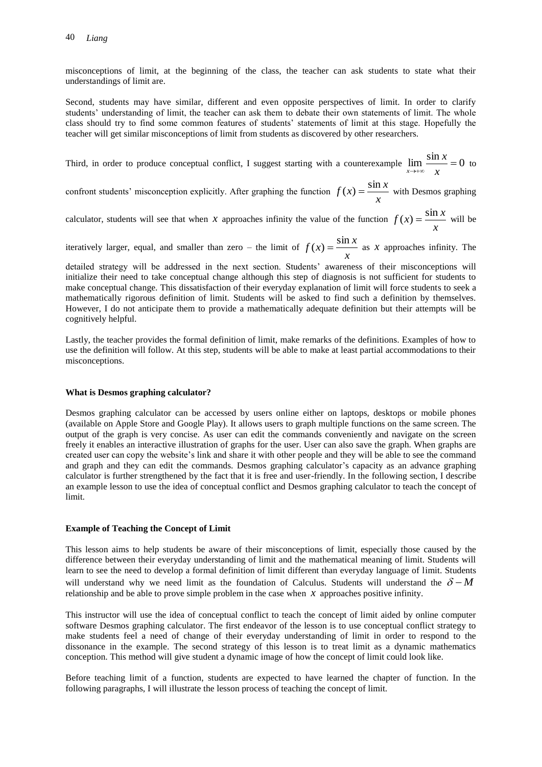misconceptions of limit, at the beginning of the class, the teacher can ask students to state what their understandings of limit are.

Second, students may have similar, different and even opposite perspectives of limit. In order to clarify students' understanding of limit, the teacher can ask them to debate their own statements of limit. The whole class should try to find some common features of students' statements of limit at this stage. Hopefully the teacher will get similar misconceptions of limit from students as discovered by other researchers.

Third, in order to produce conceptual conflict, I suggest starting with a counterexample  $\lim \frac{\sin x}{x} = 0$  $\lim_{x \to +\infty}$  x *x*  $\lim_{x\to+\infty}\frac{\sin n}{x}=0$  to

confront students' misconception explicitly. After graphing the function  $f(x) = \frac{x^2}{x}$  $f(x) = \frac{\sin x}{x}$  with Desmos graphing

calculator, students will see that when *x* approaches infinity the value of the function  $f(x) = \frac{\sin x}{x}$  $f(x) = \frac{\sin x}{x}$  will be

iteratively larger, equal, and smaller than zero – the limit of  $f(x) = \frac{\sin x}{x}$  $f(x) = \frac{\sin x}{x}$  as *x* approaches infinity. The

detailed strategy will be addressed in the next section. Students' awareness of their misconceptions will initialize their need to take conceptual change although this step of diagnosis is not sufficient for students to make conceptual change. This dissatisfaction of their everyday explanation of limit will force students to seek a mathematically rigorous definition of limit. Students will be asked to find such a definition by themselves. However, I do not anticipate them to provide a mathematically adequate definition but their attempts will be cognitively helpful.

Lastly, the teacher provides the formal definition of limit, make remarks of the definitions. Examples of how to use the definition will follow. At this step, students will be able to make at least partial accommodations to their misconceptions.

#### **What is Desmos graphing calculator?**

Desmos graphing calculator can be accessed by users online either on laptops, desktops or mobile phones (available on Apple Store and Google Play). It allows users to graph multiple functions on the same screen. The output of the graph is very concise. As user can edit the commands conveniently and navigate on the screen freely it enables an interactive illustration of graphs for the user. User can also save the graph. When graphs are created user can copy the website's link and share it with other people and they will be able to see the command and graph and they can edit the commands. Desmos graphing calculator's capacity as an advance graphing calculator is further strengthened by the fact that it is free and user-friendly. In the following section, I describe an example lesson to use the idea of conceptual conflict and Desmos graphing calculator to teach the concept of limit.

#### **Example of Teaching the Concept of Limit**

This lesson aims to help students be aware of their misconceptions of limit, especially those caused by the difference between their everyday understanding of limit and the mathematical meaning of limit. Students will learn to see the need to develop a formal definition of limit different than everyday language of limit. Students will understand why we need limit as the foundation of Calculus. Students will understand the  $\delta - M$ relationship and be able to prove simple problem in the case when  $\bar{x}$  approaches positive infinity.

This instructor will use the idea of conceptual conflict to teach the concept of limit aided by online computer software Desmos graphing calculator. The first endeavor of the lesson is to use conceptual conflict strategy to make students feel a need of change of their everyday understanding of limit in order to respond to the dissonance in the example. The second strategy of this lesson is to treat limit as a dynamic mathematics conception. This method will give student a dynamic image of how the concept of limit could look like.

Before teaching limit of a function, students are expected to have learned the chapter of function. In the following paragraphs, I will illustrate the lesson process of teaching the concept of limit.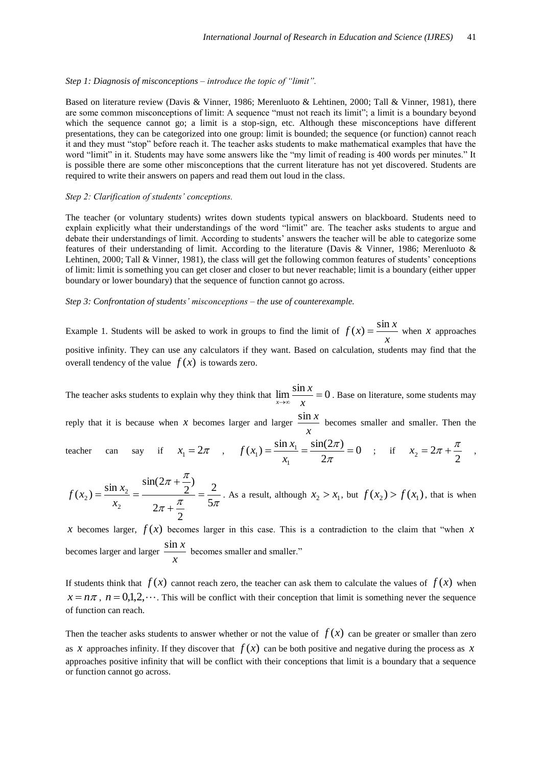#### *Step 1: Diagnosis of misconceptions – introduce the topic of "limit".*

Based on literature review (Davis & Vinner, 1986; Merenluoto & Lehtinen, 2000; Tall & Vinner, 1981), there are some common misconceptions of limit: A sequence "must not reach its limit"; a limit is a boundary beyond which the sequence cannot go; a limit is a stop-sign, etc. Although these misconceptions have different presentations, they can be categorized into one group: limit is bounded; the sequence (or function) cannot reach it and they must "stop" before reach it. The teacher asks students to make mathematical examples that have the word "limit" in it. Students may have some answers like the "my limit of reading is 400 words per minutes." It is possible there are some other misconceptions that the current literature has not yet discovered. Students are required to write their answers on papers and read them out loud in the class.

#### *Step 2: Clarification of students' conceptions.*

The teacher (or voluntary students) writes down students typical answers on blackboard. Students need to explain explicitly what their understandings of the word "limit" are. The teacher asks students to argue and debate their understandings of limit. According to students' answers the teacher will be able to categorize some features of their understanding of limit. According to the literature (Davis & Vinner, 1986; Merenluoto & Lehtinen, 2000; Tall & Vinner, 1981), the class will get the following common features of students' conceptions of limit: limit is something you can get closer and closer to but never reachable; limit is a boundary (either upper boundary or lower boundary) that the sequence of function cannot go across.

#### *Step 3: Confrontation of students' misconceptions – the use of counterexample.*

Example 1. Students will be asked to work in groups to find the limit of  $f(x) = \frac{3x}{x}$  $f(x) = \frac{\sin x}{x}$  when *x* approaches positive infinity. They can use any calculators if they want. Based on calculation, students may find that the overall tendency of the value  $f(x)$  is towards zero.

The teacher asks students to explain why they think that  $\lim_{n \to \infty} \frac{\sin x}{n} = 0$  $\rightarrow \infty$  *x x*  $\lim_{x\to\infty} \frac{\sin\theta}{x} = 0$ . Base on literature, some students may

reply that it is because when  $x$  becomes larger and larger  $\frac{311}{x}$  $\frac{\sin x}{x}$  becomes smaller and smaller. Then the

teacher can say if 
$$
x_1 = 2\pi
$$
,  $f(x_1) = \frac{\sin x_1}{x_1} = \frac{\sin(2\pi)}{2\pi} = 0$ ; if  $x_2 = 2\pi + \frac{\pi}{2}$ ,

$$
f(x_2) = \frac{\sin x_2}{x_2} = \frac{\sin(2\pi + \frac{\pi}{2})}{2\pi + \frac{\pi}{2}} = \frac{2}{5\pi}.
$$
 As a result, although  $x_2 > x_1$ , but  $f(x_2) > f(x_1)$ , that is when

*x* becomes larger,  $f(x)$  becomes larger in this case. This is a contradiction to the claim that "when x becomes larger and larger  $\frac{344}{x}$  $\frac{\sin x}{x}$  becomes smaller and smaller."

If students think that  $f(x)$  cannot reach zero, the teacher can ask them to calculate the values of  $f(x)$  when  $x = n\pi$ ,  $n = 0,1,2,...$  This will be conflict with their conception that limit is something never the sequence of function can reach.

Then the teacher asks students to answer whether or not the value of  $f(x)$  can be greater or smaller than zero as x approaches infinity. If they discover that  $f(x)$  can be both positive and negative during the process as x approaches positive infinity that will be conflict with their conceptions that limit is a boundary that a sequence or function cannot go across.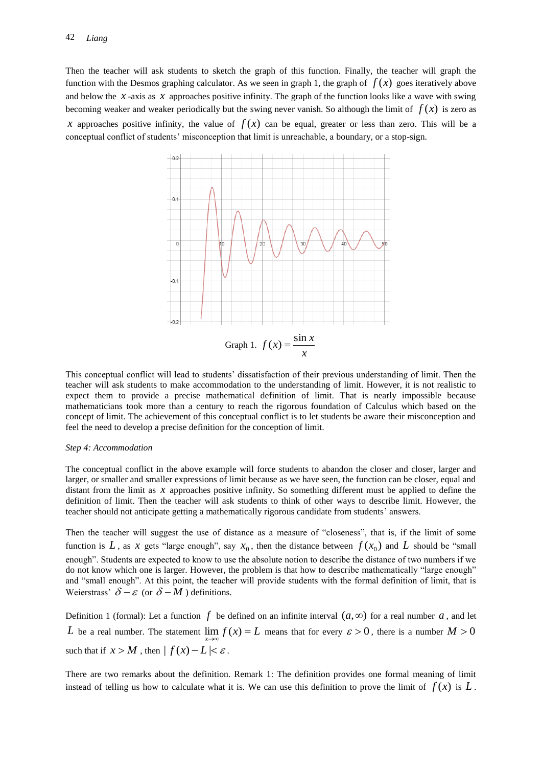Then the teacher will ask students to sketch the graph of this function. Finally, the teacher will graph the function with the Desmos graphing calculator. As we seen in graph 1, the graph of  $f(x)$  goes iteratively above and below the  $x$ -axis as  $x$  approaches positive infinity. The graph of the function looks like a wave with swing becoming weaker and weaker periodically but the swing never vanish. So although the limit of  $f(x)$  is zero as *x* approaches positive infinity, the value of  $f(x)$  can be equal, greater or less than zero. This will be a conceptual conflict of students' misconception that limit is unreachable, a boundary, or a stop-sign.



This conceptual conflict will lead to students' dissatisfaction of their previous understanding of limit. Then the teacher will ask students to make accommodation to the understanding of limit. However, it is not realistic to expect them to provide a precise mathematical definition of limit. That is nearly impossible because mathematicians took more than a century to reach the rigorous foundation of Calculus which based on the concept of limit. The achievement of this conceptual conflict is to let students be aware their misconception and feel the need to develop a precise definition for the conception of limit.

#### *Step 4: Accommodation*

The conceptual conflict in the above example will force students to abandon the closer and closer, larger and larger, or smaller and smaller expressions of limit because as we have seen, the function can be closer, equal and distant from the limit as *x* approaches positive infinity. So something different must be applied to define the definition of limit. Then the teacher will ask students to think of other ways to describe limit. However, the teacher should not anticipate getting a mathematically rigorous candidate from students' answers.

Then the teacher will suggest the use of distance as a measure of "closeness", that is, if the limit of some function is L, as x gets "large enough", say  $x_0$ , then the distance between  $f(x_0)$  and L should be "small enough". Students are expected to know to use the absolute notion to describe the distance of two numbers if we do not know which one is larger. However, the problem is that how to describe mathematically "large enough" and "small enough". At this point, the teacher will provide students with the formal definition of limit, that is Weierstrass'  $\delta - \varepsilon$  (or  $\delta - M$ ) definitions.

Definition 1 (formal): Let a function  $f$  be defined on an infinite interval  $(a, \infty)$  for a real number  $a$ , and let L be a real number. The statement  $\lim_{x\to\infty} f(x) = L$  means that for every  $\varepsilon > 0$ , there is a number  $M > 0$ such that if  $x > M$ , then  $|f(x) - L| < \varepsilon$ .

There are two remarks about the definition. Remark 1: The definition provides one formal meaning of limit instead of telling us how to calculate what it is. We can use this definition to prove the limit of  $f(x)$  is  $L$ .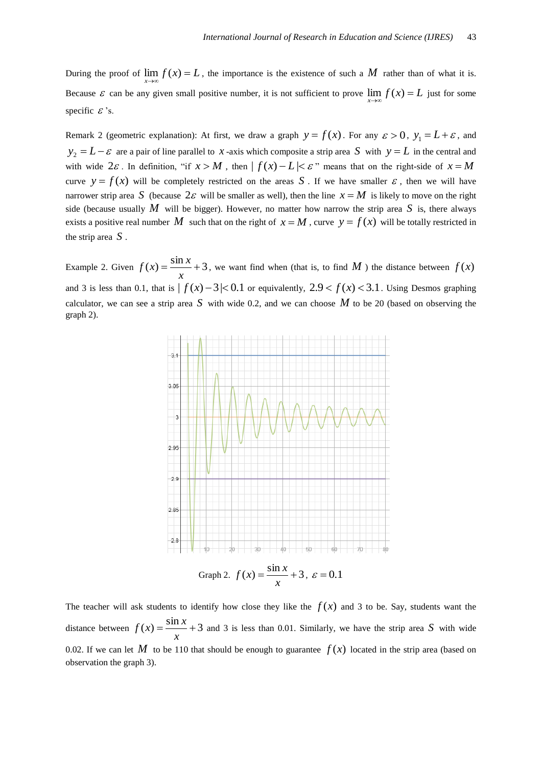During the proof of  $\lim_{x\to\infty} f(x) = L$ , the importance is the existence of such a M rather than of what it is. Because  $\varepsilon$  can be any given small positive number, it is not sufficient to prove  $\lim_{x\to\infty} f(x) = L$  just for some specific  $\mathcal{E}$ 's.

Remark 2 (geometric explanation): At first, we draw a graph  $y = f(x)$ . For any  $\varepsilon > 0$ ,  $y_1 = L + \varepsilon$ , and  $y_2 = L - \varepsilon$  are a pair of line parallel to *x*-axis which composite a strip area *S* with  $y = L$  in the central and with wide  $2\varepsilon$ . In definition, "if  $x > M$ , then  $| f(x) - L | \le \varepsilon$ " means that on the right-side of  $x = M$ curve  $y = f(x)$  will be completely restricted on the areas S . If we have smaller  $\varepsilon$ , then we will have narrower strip area S (because  $2\varepsilon$  will be smaller as well), then the line  $x = M$  is likely to move on the right side (because usually  $M$  will be bigger). However, no matter how narrow the strip area  $S$  is, there always exists a positive real number M such that on the right of  $x = M$ , curve  $y = f(x)$  will be totally restricted in the strip area *S* .

Example 2. Given  $f(x) = \frac{\sin x}{1 + 3}$ *x*  $f(x) = \frac{\sin x}{x} + 3$ , we want find when (that is, to find M) the distance between  $f(x)$ and 3 is less than 0.1, that is  $|f(x)-3|< 0.1$  or equivalently,  $2.9 < f(x) < 3.1$ . Using Desmos graphing calculator, we can see a strip area  $S$  with wide 0.2, and we can choose  $M$  to be 20 (based on observing the graph 2).



The teacher will ask students to identify how close they like the  $f(x)$  and 3 to be. Say, students want the distance between  $f(x) = \frac{\sin x}{x} + 3$ *x*  $f(x) = \frac{\sin x}{x} + 3$  and 3 is less than 0.01. Similarly, we have the strip area S with wide 0.02. If we can let M to be 110 that should be enough to guarantee  $f(x)$  located in the strip area (based on observation the graph 3).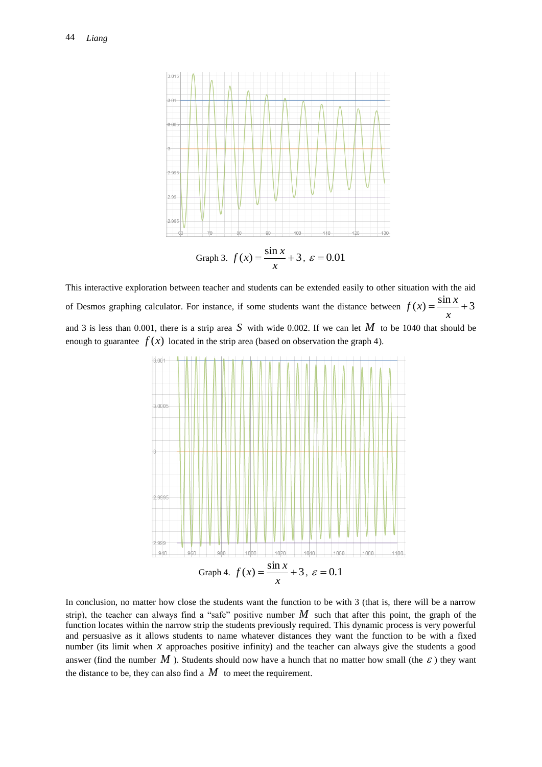

This interactive exploration between teacher and students can be extended easily to other situation with the aid of Desmos graphing calculator. For instance, if some students want the distance between  $f(x) = \frac{\sin x}{x} + 3$ *x*  $f(x) = \frac{\sin x}{x}$ and 3 is less than 0.001, there is a strip area S with wide 0.002. If we can let  $M$  to be 1040 that should be enough to guarantee  $f(x)$  located in the strip area (based on observation the graph 4).



In conclusion, no matter how close the students want the function to be with 3 (that is, there will be a narrow strip), the teacher can always find a "safe" positive number  $M$  such that after this point, the graph of the function locates within the narrow strip the students previously required. This dynamic process is very powerful and persuasive as it allows students to name whatever distances they want the function to be with a fixed number (its limit when  $x$  approaches positive infinity) and the teacher can always give the students a good answer (find the number  $M$  ). Students should now have a hunch that no matter how small (the  $\varepsilon$ ) they want the distance to be, they can also find a  $M$  to meet the requirement.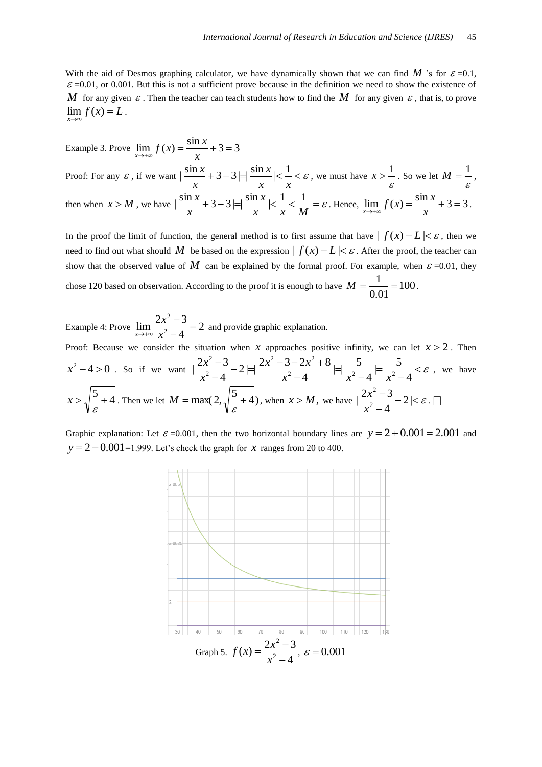With the aid of Desmos graphing calculator, we have dynamically shown that we can find  $M$  's for  $\varepsilon = 0.1$ ,  $\varepsilon$  =0.01, or 0.001. But this is not a sufficient prove because in the definition we need to show the existence of M for any given  $\varepsilon$ . Then the teacher can teach students how to find the M for any given  $\varepsilon$ , that is, to prove  $\lim_{x\to\infty} f(x) = L$ .

Example 3. Prove  $\lim f(x) = \frac{\sin x}{1} + 3 = 3$  $\lim_{x \to +\infty} f(x)$  x  $\lim_{x \to +\infty} f(x) = \frac{\sin x}{x}$ Proof: For any  $\varepsilon$ , if we want  $\left|\frac{\sin x}{2}+3-3\right|=\left|\frac{\sin x}{2}\right|<\frac{1}{2}<\varepsilon$ *x x x x*  $\left|\frac{\sin x}{x}+3-3\right|=\left|\frac{\sin x}{x}\right|<\frac{1}{x}<\varepsilon$ , we must have  $x>\frac{1}{\varepsilon}$  $x > \frac{1}{\varepsilon}$ . So we let  $M = \frac{1}{\varepsilon}$ , then when  $x > M$ , we have  $\left| \frac{\sin x}{x} + 3 - 3 \right| = \left| \frac{\sin x}{x} \right| < \frac{1}{x} < \frac{1}{x} = \varepsilon$  $x \quad x \quad M$ *x x*  $\left|\frac{\sin x}{3} + 3 - 3\right| = \left|\frac{\sin x}{3}\right| < \frac{1}{1} < \frac{1}{1} = \varepsilon$ . Hence,  $\lim_{x \to \infty} f(x) = \frac{\sin x}{3} + 3 = 3$  $\lim_{x \to +\infty}$  *y* (*ii*)  $x$  $\lim_{x \to +\infty} f(x) = \frac{\sin x}{x} + 3 = 3.$ 

In the proof the limit of function, the general method is to first assume that have  $| f(x) - L | < \varepsilon$ , then we need to find out what should M be based on the expression  $| f(x) - L | < \varepsilon$ . After the proof, the teacher can show that the observed value of M can be explained by the formal proof. For example, when  $\varepsilon$  =0.01, they chose 120 based on observation. According to the proof it is enough to have  $M = \frac{1}{2.04} = 100$ 0.01  $M = \frac{1}{2.81} = 100$ .

Example 4: Prove  $\lim_{x \to 0} \frac{2x}{x^2} = 2$ 4  $\lim_{x\to\infty}\frac{2x^2-3}{x^2-4}$ 2  $=$  $\overline{a}$  $\overline{a}$  $\rightarrow +\infty$  *x x*  $\lim_{x \to +\infty} \frac{2x-2}{x^2-4} = 2$  and provide graphic explanation.

Proof: Because we consider the situation when x approaches positive infinity, we can let  $x > 2$ . Then  $x^2-4 > 0$ . So if we want  $\left|\frac{2x-3}{2}-2\right| \neq \frac{2x-3-2x+6}{2} = \left|\frac{3}{2}-2\right| \neq \frac{3}{2}$  $\overline{a}$  $=$  $\overline{a}$  $=$  $\overline{a}$  $-2|=\frac{2x^2-3-2x^2+1}{x^2-2x+1}$  $\overline{a}$  $\overline{a}$ 4  $\mid=\frac{5}{2}\right|$ 4  $\vert = \vert -\frac{5}{2} \vert$ 4  $2 = \frac{2x^2 - 3 - 2x^2 + 8}{x^2 - 3}$ 4  $|\frac{2x^2-3}{x^2-4}-2|= |\frac{2x^2-3-2x^2+8}{x^2-4}|= |\frac{5}{x^2-4}|=$ 2 2  $2r^2$ 2 2  $x^2-4$   $x^2-4$  *x*  $x^2 - 3 - 2x$ *x*  $\frac{x^2-3}{2}-2$   $\Rightarrow$   $\frac{2x^2-3-2x^2+8}{2}$   $\Rightarrow$   $\frac{5}{2}$   $\Rightarrow$   $\frac{5}{2}$   $\leq \varepsilon$ , we have  $x > \sqrt{\frac{5}{\varepsilon}} + 4$ . Then we let  $M = \max(2, \sqrt{\frac{5}{\varepsilon}} + 4)$ , when  $x > M$ , we have  $\frac{2x^2 - 3}{x^2 - 4} - 2 < \varepsilon$  $\overline{a}$  $\frac{-3}{2} - 2$ 4  $\frac{2x^2-3}{x^2-4}$ 2 *x*  $\frac{x^2-3}{2}-2$ |< $\varepsilon$ .

Graphic explanation: Let  $\varepsilon$  =0.001, then the two horizontal boundary lines are  $y = 2 + 0.001 = 2.001$  and  $y = 2 - 0.001 = 1.999$ . Let's check the graph for  $x$  ranges from 20 to 400.

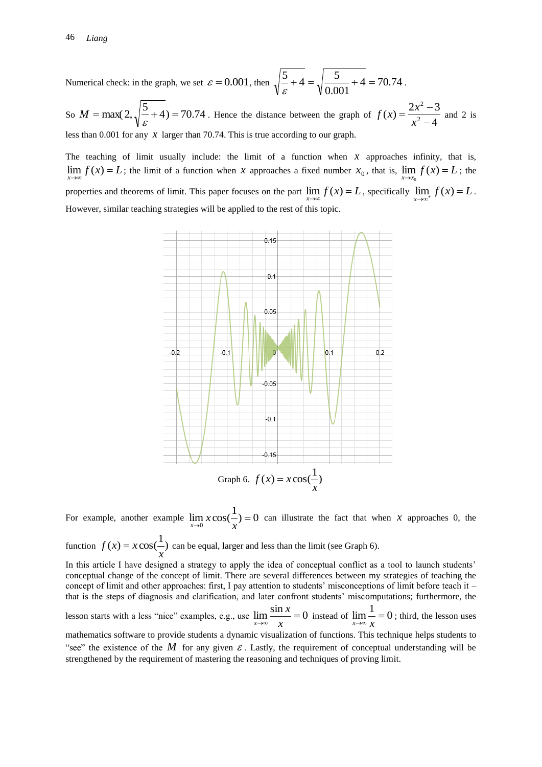Numerical check: in the graph, we set  $\varepsilon = 0.001$ , then  $\sqrt{\frac{3}{2} + 4} = \sqrt{\frac{3}{0.001} + 4} = 70.74$ 0.001  $\frac{5}{6} + 4 = \sqrt{\frac{5}{0.001} + 4} = 70.74$ .

So  $M = \max(2, \sqrt{\frac{5}{\varepsilon}} + 4) = 70.74$ . Hence the distance between the graph of  $f(x) = \frac{2x^2 - 3}{x^2 - 4}$  $f(x) = \frac{2x^2 - 3}{x^2 - 4}$ 2  $\overline{a}$  $=\frac{2x^2-}{x}$ *x*  $f(x) = \frac{2x^2 - 3}{x^2}$  and 2 is less than  $0.001$  for any  $x$  larger than 70.74. This is true according to our graph.

The teaching of limit usually include: the limit of a function when  $x$  approaches infinity, that is,  $\lim_{x \to \infty} f(x) = L$ ; the limit of a function when *x* approaches a fixed number  $x_0$ , that is,  $\lim_{x \to x_0} f(x) = L$ ; the  $\epsilon$ properties and theorems of limit. This paper focuses on the part  $\lim_{x\to\infty} f(x) = L$ , specifically  $\lim_{x\to\infty^+} f(x) = L$ . However, similar teaching strategies will be applied to the rest of this topic.



For example, another example  $\lim_{x\to 0} x \cos(\frac{1}{x}) = 0$  $\rightarrow 0$   $\rightarrow x$  $\lim_{x\to 0} x \cos(\frac{1}{x}) = 0$  can illustrate the fact that when *x* approaches 0, the

function  $f(x) = x \cos(\frac{1}{x})$ *x*  $f(x) = x \cos(\frac{1}{x})$  can be equal, larger and less than the limit (see Graph 6).

In this article I have designed a strategy to apply the idea of conceptual conflict as a tool to launch students' conceptual change of the concept of limit. There are several differences between my strategies of teaching the concept of limit and other approaches: first, I pay attention to students' misconceptions of limit before teach it – that is the steps of diagnosis and clarification, and later confront students' miscomputations; furthermore, the

lesson starts with a less "nice" examples, e.g., use  $\lim \frac{\sin x}{x} = 0$  $\rightarrow \infty$  *x x*  $\lim_{x \to \infty} \frac{\sin x}{x} = 0$  instead of  $\lim_{x \to \infty} \frac{1}{x} = 0$  $\lim_{x \to \infty} \frac{1}{x} = 0$ ; third, the lesson uses

mathematics software to provide students a dynamic visualization of functions. This technique helps students to "see" the existence of the M for any given  $\varepsilon$ . Lastly, the requirement of conceptual understanding will be strengthened by the requirement of mastering the reasoning and techniques of proving limit.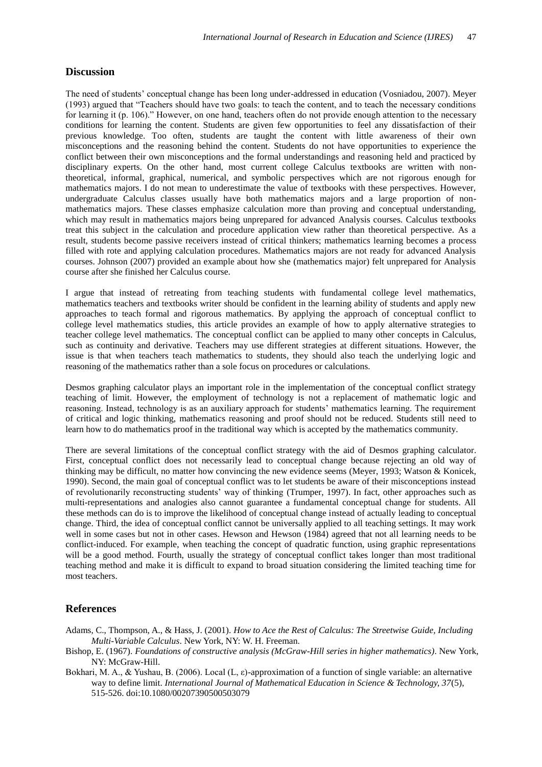### **Discussion**

The need of students' conceptual change has been long under-addressed in education (Vosniadou, 2007). Meyer (1993) argued that "Teachers should have two goals: to teach the content, and to teach the necessary conditions for learning it (p. 106)." However, on one hand, teachers often do not provide enough attention to the necessary conditions for learning the content. Students are given few opportunities to feel any dissatisfaction of their previous knowledge. Too often, students are taught the content with little awareness of their own misconceptions and the reasoning behind the content. Students do not have opportunities to experience the conflict between their own misconceptions and the formal understandings and reasoning held and practiced by disciplinary experts. On the other hand, most current college Calculus textbooks are written with nontheoretical, informal, graphical, numerical, and symbolic perspectives which are not rigorous enough for mathematics majors. I do not mean to underestimate the value of textbooks with these perspectives. However, undergraduate Calculus classes usually have both mathematics majors and a large proportion of nonmathematics majors. These classes emphasize calculation more than proving and conceptual understanding, which may result in mathematics majors being unprepared for advanced Analysis courses. Calculus textbooks treat this subject in the calculation and procedure application view rather than theoretical perspective. As a result, students become passive receivers instead of critical thinkers; mathematics learning becomes a process filled with rote and applying calculation procedures. Mathematics majors are not ready for advanced Analysis courses. Johnson (2007) provided an example about how she (mathematics major) felt unprepared for Analysis course after she finished her Calculus course.

I argue that instead of retreating from teaching students with fundamental college level mathematics, mathematics teachers and textbooks writer should be confident in the learning ability of students and apply new approaches to teach formal and rigorous mathematics. By applying the approach of conceptual conflict to college level mathematics studies, this article provides an example of how to apply alternative strategies to teacher college level mathematics. The conceptual conflict can be applied to many other concepts in Calculus, such as continuity and derivative. Teachers may use different strategies at different situations. However, the issue is that when teachers teach mathematics to students, they should also teach the underlying logic and reasoning of the mathematics rather than a sole focus on procedures or calculations.

Desmos graphing calculator plays an important role in the implementation of the conceptual conflict strategy teaching of limit. However, the employment of technology is not a replacement of mathematic logic and reasoning. Instead, technology is as an auxiliary approach for students' mathematics learning. The requirement of critical and logic thinking, mathematics reasoning and proof should not be reduced. Students still need to learn how to do mathematics proof in the traditional way which is accepted by the mathematics community.

There are several limitations of the conceptual conflict strategy with the aid of Desmos graphing calculator. First, conceptual conflict does not necessarily lead to conceptual change because rejecting an old way of thinking may be difficult, no matter how convincing the new evidence seems (Meyer, 1993; Watson & Konicek, 1990). Second, the main goal of conceptual conflict was to let students be aware of their misconceptions instead of revolutionarily reconstructing students' way of thinking (Trumper, 1997). In fact, other approaches such as multi-representations and analogies also cannot guarantee a fundamental conceptual change for students. All these methods can do is to improve the likelihood of conceptual change instead of actually leading to conceptual change. Third, the idea of conceptual conflict cannot be universally applied to all teaching settings. It may work well in some cases but not in other cases. Hewson and Hewson (1984) agreed that not all learning needs to be conflict-induced. For example, when teaching the concept of quadratic function, using graphic representations will be a good method. Fourth, usually the strategy of conceptual conflict takes longer than most traditional teaching method and make it is difficult to expand to broad situation considering the limited teaching time for most teachers.

### **References**

- Adams, C., Thompson, A., & Hass, J. (2001). *How to Ace the Rest of Calculus: The Streetwise Guide, Including Multi-Variable Calculus*. New York, NY: W. H. Freeman.
- Bishop, E. (1967). *Foundations of constructive analysis (McGraw-Hill series in higher mathematics)*. New York, NY: McGraw-Hill.
- Bokhari, M. A., & Yushau, B. (2006). Local (L, ε)-approximation of a function of single variable: an alternative way to define limit. *International Journal of Mathematical Education in Science & Technology, 37*(5), 515-526. doi:10.1080/00207390500503079